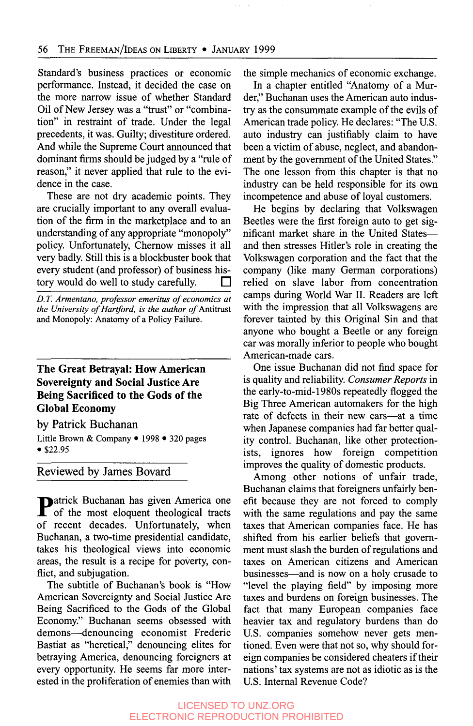Standard's business practices or economic performance. Instead, it decided the case on the more narrow issue of whether Standard Oil of New Jersey was a "trust" or "combination" in restraint of trade. Under the legal precedents, it was. Guilty; divestiture ordered. And while the Supreme Court announced that dominant firms should be judged by a "rule of reason," it never applied that rule to the evidence in the case.

These are not *dry* academic points. They are crucially important to any overall evaluation of the firm in the marketplace and to an understanding of any appropriate "monopoly" policy. Unfortunately, Chernow misses it all very badly. Still this is a blockbuster book that every student (and professor) of business history would do well to study carefully. П

*D. T. Armentano, professor emeritus of economics at the University of Hartford, is the author of* Antitrust and Monopoly: Anatomy **of** a Policy Failure.

# **The Great Betrayal: How American Sovereignty and Social Justice Are Being Sacrificed to the Gods of the Global Economy**

by Patrick Buchanan

Little Brown & Company • 1998 • 320 pages **\$22.95** 

Reviewed by James Bovard

**Patrick Buchanan has given America one** of the most eloquent theological tracts of recent decades. Unfortunately, when Buchanan, a two-time presidential candidate, takes his theological views into economic areas, the result is a recipe for poverty, conflict, and subjugation.

The subtitle of Buchanan's book is "How American Sovereignty and Social Justice Are Being Sacrificed to the Gods of the Global Economy." Buchanan seems obsessed with demons-denouncing economist Frederic Bastiat as "heretical," denouncing elites for betraying America, denouncing foreigners at every opportunity. He seems far more interested in the proliferation of enemies than with the simple mechanics of economic exchange.

In a chapter entitled "Anatomy of a Murder," Buchanan uses the American auto indus**try** as the consummate example of the evils of American trade policy. He declares: "The U.S. auto industry can justifiably claim to have been a victim of abuse, neglect, and abandonment by the government of the United States." The one lesson from this chapter is that no industry can be held responsible for its own incompetence and abuse of loyal customers.

He begins by declaring that Volkswagen Beetles were the fist foreign auto to get significant market share in the United Statesand then stresses Hitler's role in creating the Volkswagen corporation and the fact that the company (like many German corporations) relied on slave labor from concentration camps during World War 11. Readers are left with the impression that all Volkswagens are forever tainted by this Original Sin and that anyone who bought a Beetle or any foreign car was morally inferior to people who bought American-made cars.

One issue Buchanan did not find space for is quality and reliability. *Consumer Reports* in the early-to-mid-1980s repeatedly flogged the Big Three American automakers for the high rate of defects in their new cars-at a time when Japanese companies had far better quality control. Buchanan, like other protectionists, ignores how foreign competition improves the quality of domestic products.

Among other notions of unfair trade, Buchanan claims that foreigners unfairly benefit because they are not forced to comply with the same regulations and pay the same taxes that American companies face. He has shifted from his earlier beliefs that government must slash the burden of regulations and taxes on American citizens and American businesses-and is now on a holy crusade to "level the playing field" by imposing more taxes and burdens on foreign businesses. The fact that many European companies face heavier tax and regulatory burdens than do U.S. companies somehow never gets mentioned. Even were that not *so,* why should foreign companies be considered cheaters if their nations' tax systems are not as idiotic as is the U.S. Internal Revenue Code?

#### LICENSED TO UNZ.ORG ELECTRONIC REPRODUCTION PROHIBITED